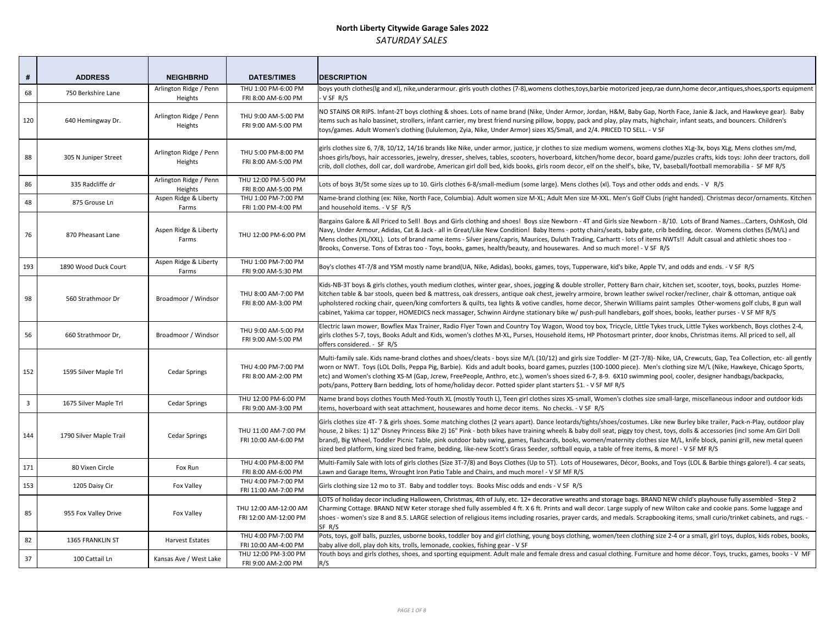| #   | <b>ADDRESS</b>          | <b>NEIGHBRHD</b>                  | <b>DATES/TIMES</b>                             | <b>DESCRIPTION</b>                                                                                                                                                                                                                                                                                                                                                                                 |
|-----|-------------------------|-----------------------------------|------------------------------------------------|----------------------------------------------------------------------------------------------------------------------------------------------------------------------------------------------------------------------------------------------------------------------------------------------------------------------------------------------------------------------------------------------------|
| 68  | 750 Berkshire Lane      | Arlington Ridge / Penn<br>Heights | THU 1:00 PM-6:00 PM<br>FRI 8:00 AM-6:00 PM     | boys youth clothes(Ig and xI), nike, underarmour. girls youth clothes (7-8), womens clothes, to<br>- V SF R/S                                                                                                                                                                                                                                                                                      |
| 120 | 640 Hemingway Dr.       | Arlington Ridge / Penn<br>Heights | THU 9:00 AM-5:00 PM<br>FRI 9:00 AM-5:00 PM     | NO STAINS OR RIPS. Infant-2T boys clothing & shoes. Lots of name brand (Nike, Under Armor<br>items such as halo bassinet, strollers, infant carrier, my brest friend nursing pillow, boppy, pa<br>toys/games. Adult Women's clothing (lululemon, Zyia, Nike, Under Armor) sizes XS/Small, an                                                                                                       |
| 88  | 305 N Juniper Street    | Arlington Ridge / Penn<br>Heights | THU 5:00 PM-8:00 PM<br>FRI 8:00 AM-5:00 PM     | girls clothes size 6, 7/8, 10/12, 14/16 brands like Nike, under armor, justice, jr clothes to size<br>shoes girls/boys, hair accessories, jewelry, dresser, shelves, tables, scooters, hoverboard, kit<br>crib, doll clothes, doll car, doll wardrobe, American girl doll bed, kids books, girls room decor                                                                                        |
| 86  | 335 Radcliffe dr        | Arlington Ridge / Penn<br>Heights | THU 12:00 PM-5:00 PM<br>FRI 8:00 AM-5:00 PM    | Lots of boys 3t/5t some sizes up to 10. Girls clothes 6-8/small-medium (some large). Mens cl                                                                                                                                                                                                                                                                                                       |
| 48  | 875 Grouse Ln           | Aspen Ridge & Liberty<br>Farms    | THU 1:00 PM-7:00 PM<br>FRI 1:00 PM-4:00 PM     | Name-brand clothing (ex: Nike, North Face, Columbia). Adult women size M-XL; Adult Men si<br>and household items. - V SF R/S                                                                                                                                                                                                                                                                       |
| 76  | 870 Pheasant Lane       | Aspen Ridge & Liberty<br>Farms    | THU 12:00 PM-6:00 PM                           | Bargains Galore & All Priced to Sell! Boys and Girls clothing and shoes! Boys size Newborn -<br>Navy, Under Armour, Adidas, Cat & Jack - all in Great/Like New Condition! Baby Items - pott<br>Mens clothes (XL/XXL). Lots of brand name items - Silver jeans/capris, Maurices, Duluth Trac<br>Brooks, Converse. Tons of Extras too - Toys, books, games, health/beauty, and housewares.           |
| 193 | 1890 Wood Duck Court    | Aspen Ridge & Liberty<br>Farms    | THU 1:00 PM-7:00 PM<br>FRI 9:00 AM-5:30 PM     | Boy's clothes 4T-7/8 and YSM mostly name brand(UA, Nike, Adidas), books, games, toys, Tup                                                                                                                                                                                                                                                                                                          |
| 98  | 560 Strathmoor Dr       | Broadmoor / Windsor               | THU 8:00 AM-7:00 PM<br>FRI 8:00 AM-3:00 PM     | Kids-NB-3T boys & girls clothes, youth medium clothes, winter gear, shoes, jogging & double<br>kitchen table & bar stools, queen bed & mattress, oak dressers, antique oak chest, jewelry ar<br>upholstered rocking chair, queen/king comforters & quilts, tea lights & votive candles, home<br>cabinet, Yakima car topper, HOMEDICS neck massager, Schwinn Airdyne stationary bike w/ p           |
| 56  | 660 Strathmoor Dr,      | Broadmoor / Windsor               | THU 9:00 AM-5:00 PM<br>FRI 9:00 AM-5:00 PM     | Electric lawn mower, Bowflex Max Trainer, Radio Flyer Town and Country Toy Wagon, Wood<br>girls clothes 5-7, toys, Books Adult and Kids, women's clothes M-XL, Purses, Household items<br>offers considered. - SF R/S                                                                                                                                                                              |
| 152 | 1595 Silver Maple Trl   | <b>Cedar Springs</b>              | THU 4:00 PM-7:00 PM<br>FRI 8:00 AM-2:00 PM     | Multi-family sale. Kids name-brand clothes and shoes/cleats - boys size M/L (10/12) and girls<br>worn or NWT. Toys (LOL Dolls, Peppa Pig, Barbie). Kids and adult books, board games, puzzl<br>etc) and Women's clothing XS-M (Gap, Jcrew, FreePeople, Anthro, etc.), women's shoes sized<br>pots/pans, Pottery Barn bedding, lots of home/holiday decor. Potted spider plant starters \$1         |
| 3   | 1675 Silver Maple Trl   | <b>Cedar Springs</b>              | THU 12:00 PM-6:00 PM<br>FRI 9:00 AM-3:00 PM    | Name brand boys clothes Youth Med-Youth XL (mostly Youth L), Teen girl clothes sizes XS-sm<br>items, hoverboard with seat attachment, housewares and home decor items. No checks. - V                                                                                                                                                                                                              |
| 144 | 1790 Silver Maple Trail | <b>Cedar Springs</b>              | THU 11:00 AM-7:00 PM<br>FRI 10:00 AM-6:00 PM   | Girls clothes size 4T- 7 & girls shoes. Some matching clothes (2 years apart). Dance leotards/<br>house, 2 bikes: 1) 12" Disney Princess Bike 2) 16" Pink - both bikes have training wheels & bal<br>brand), Big Wheel, Toddler Picnic Table, pink outdoor baby swing, games, flashcards, books,<br>sized bed platform, king sized bed frame, bedding, like-new Scott's Grass Seeder, softball equ |
| 171 | 80 Vixen Circle         | Fox Run                           | THU 4:00 PM-8:00 PM<br>FRI 8:00 AM-6:00 PM     | Multi-Family Sale with lots of girls clothes (Size 3T-7/8) and Boys Clothes (Up to 5T). Lots of I<br>Lawn and Garage Items, Wrought Iron Patio Table and Chairs, and much more! - V SF MF R/S                                                                                                                                                                                                      |
| 153 | 1205 Daisy Cir          | Fox Valley                        | THU 4:00 PM-7:00 PM<br>FRI 11:00 AM-7:00 PM    | Girls clothing size 12 mo to 3T. Baby and toddler toys. Books Misc odds and ends - V SF R/S                                                                                                                                                                                                                                                                                                        |
| 85  | 955 Fox Valley Drive    | Fox Valley                        | THU 12:00 AM-12:00 AM<br>FRI 12:00 AM-12:00 PM | LOTS of holiday decor including Halloween, Christmas, 4th of July, etc. 12+ decorative wreatl<br>Charming Cottage. BRAND NEW Keter storage shed fully assembled 4 ft. X 6 ft. Prints and wa<br>shoes - women's size 8 and 8.5. LARGE selection of religious items including rosaries, prayer of<br>SF R/S                                                                                          |
| 82  | 1365 FRANKLIN ST        | Harvest Estates                   | THU 4:00 PM-7:00 PM<br>FRI 10:00 AM-4:00 PM    | Pots, toys, golf balls, puzzles, usborne books, toddler boy and girl clothing, young boys clothi<br>baby alive doll, play doh kits, trolls, lemonade, cookies, fishing gear - V SF                                                                                                                                                                                                                 |
| 37  | 100 Cattail Ln          | Kansas Ave / West Lake            | THU 12:00 PM-3:00 PM<br>FRI 9:00 AM-2:00 PM    | Youth boys and girls clothes, shoes, and sporting equipment. Adult male and female dress an<br>R/S                                                                                                                                                                                                                                                                                                 |

s, toys, barbie motorized jeep, rae dunn, home decor, antiques, shoes, sports equipment

mor, Jordan, H&M, Baby Gap, North Face, Janie & Jack, and Hawkeye gear). Baby y, pack and play, play mats, highchair, infant seats, and bouncers. Children's l, and 2/4. PRICED TO SELL. - V SF

size medium womens, womens clothes XLg-3x, boys XLg, Mens clothes sm/md, , kitchen/home decor, board game/puzzles crafts, kids toys: John deer tractors, doll ecor, elf on the shelf's, bike, TV, baseball/football memorabilia - SF MF R/S

 $\eta$ s clothes (xl). Toys and other odds and ends. - V R/S

en size M-XXL. Men's Golf Clubs (right handed). Christmas decor/ornaments. Kitchen

brn - 4T and Girls size Newborn - 8/10. Lots of Brand Names...Carters, OshKosh, Old potty chairs/seats, baby gate, crib bedding, decor. Womens clothes (S/M/L) and Trading, Carhartt - lots of items NWTs!! Adult casual and athletic shoes too es. And so much more! - V SF R/S

Tupperware, kid's bike, Apple TV, and odds and ends. - V SF R/S

able stroller, Pottery Barn chair, kitchen set, scooter, toys, books, puzzles Homery armoire, brown leather swivel rocker/recliner, chair & ottoman, antique oak ome decor, Sherwin Williams paint samples Other-womens golf clubs, 8 gun wall w/ push-pull handlebars, golf shoes, books, leather purses - V SF MF R/S

Iood toy box, Tricycle, Little Tykes truck, Little Tykes workbench, Boys clothes 2-4, tems, HP Photosmart printer, door knobs, Christmas items. All priced to sell, all

girls size Toddler- M (2T-7/8)- Nike, UA, Crewcuts, Gap, Tea Collection, etc- all gently vuzzles (100-1000 piece). Men's clothing size M/L (Nike, Hawkeye, Chicago Sports, sized 6-7, 8-9. 6X10 swimming pool, cooler, designer handbags/backpacks, rs \$1. - V SF MF R/S

S-small, Women's clothes size small-large, miscellaneous indoor and outdoor kids  $i. - V S F R/S$ 

rds/tights/shoes/costumes. Like new Burley bike trailer, Pack-n-Play, outdoor play k baby doll seat, piggy toy chest, toys, dolls & accessories (incl some Am Girl Doll bks, women/maternity clothes size M/L, knife block, panini grill, new metal queen l equip, a table of free items, & more! - V SF MF R/S

s of Housewares, Décor, Books, and Toys (LOL & Barbie things galore!). 4 car seats,

reaths and storage bags. BRAND NEW child's playhouse fully assembled - Step 2 d wall decor. Large supply of new Wilton cake and cookie pans. Some luggage and yer cards, and medals. Scrapbooking items, small curio/trinket cabinets, and rugs. -

lothing, women/teen clothing size 2-4 or a small, girl toys, duplos, kids robes, books,

South boys and girls and home decor. Toys, trucks, games, books - V MF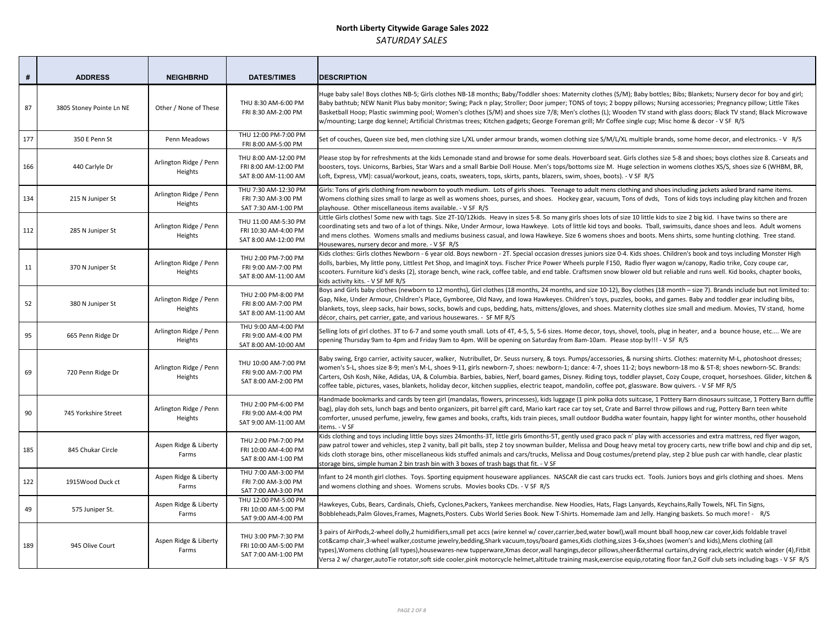| #   | <b>ADDRESS</b>           | <b>NEIGHBRHD</b>                  | <b>DATES/TIMES</b>                                                   | <b>DESCRIPTION</b>                                                                                                                                                                                                                                                                                                                                                                  |
|-----|--------------------------|-----------------------------------|----------------------------------------------------------------------|-------------------------------------------------------------------------------------------------------------------------------------------------------------------------------------------------------------------------------------------------------------------------------------------------------------------------------------------------------------------------------------|
| 87  | 3805 Stoney Pointe Ln NE | Other / None of These             | THU 8:30 AM-6:00 PM<br>FRI 8:30 AM-2:00 PM                           | Huge baby sale! Boys clothes NB-5; Girls clothes NB-18 months; Baby/Toddler shoes: Mat<br>Baby bathtub; NEW Nanit Plus baby monitor; Swing; Pack n play; Stroller; Door jumper; T<br>Basketball Hoop; Plastic swimming pool; Women's clothes (S/M) and shoes size 7/8; Mer<br>w/mounting; Large dog kennel; Artificial Christmas trees; Kitchen gadgets; George Forem               |
| 177 | 350 E Penn St            | Penn Meadows                      | THU 12:00 PM-7:00 PM<br>FRI 8:00 AM-5:00 PM                          | Set of couches, Queen size bed, men clothing size L/XL under armour brands, women clo                                                                                                                                                                                                                                                                                               |
| 166 | 440 Carlyle Dr           | Arlington Ridge / Penn<br>Heights | THU 8:00 AM-12:00 PM<br>FRI 8:00 AM-12:00 PM<br>SAT 8:00 AM-11:00 AM | Please stop by for refreshments at the kids Lemonade stand and browse for some deals.<br>boosters, toys. Unicorns, Barbies, Star Wars and a small Barbie Doll House. Men's tops/b<br>Loft, Express, VM): casual/workout, jeans, coats, sweaters, tops, skirts, pants, blazers, sw                                                                                                   |
| 134 | 215 N Juniper St         | Arlington Ridge / Penn<br>Heights | THU 7:30 AM-12:30 PM<br>FRI 7:30 AM-3:00 PM<br>SAT 7:30 AM-1:00 PM   | Girls: Tons of girls clothing from newborn to youth medium. Lots of girls shoes. Teenag<br>Womens clothing sizes small to large as well as womens shoes, purses, and shoes. Hock<br>playhouse. Other miscellaneous items available. - V SF R/S                                                                                                                                      |
| 112 | 285 N Juniper St         | Arlington Ridge / Penn<br>Heights | THU 11:00 AM-5:30 PM<br>FRI 10:30 AM-4:00 PM<br>SAT 8:00 AM-12:00 PM | Little Girls clothes! Some new with tags. Size 2T-10/12kids. Heavy in sizes 5-8. So many g<br>coordinating sets and two of a lot of things. Nike, Under Armour, Iowa Hawkeye. Lots of<br>and mens clothes. Womens smalls and mediums business casual, and Iowa Hawkeye. Siz<br>Housewares, nursery decor and more. - V SF R/S                                                       |
| 11  | 370 N Juniper St         | Arlington Ridge / Penn<br>Heights | THU 2:00 PM-7:00 PM<br>FRI 9:00 AM-7:00 PM<br>SAT 8:00 AM-11:00 AM   | Kids clothes: Girls clothes Newborn - 6 year old. Boys newborn - 2T. Special occasion dres<br>dolls, barbies, My little pony, Littlest Pet Shop, and ImaginX toys. Fischer Price Power Wh<br>scooters. Furniture kid's desks (2), storage bench, wine rack, coffee table, and end table.<br>kids activity kits. - V SF MF R/S                                                       |
| 52  | 380 N Juniper St         | Arlington Ridge / Penn<br>Heights | THU 2:00 PM-8:00 PM<br>FRI 8:00 AM-7:00 PM<br>SAT 8:00 AM-11:00 AM   | Boys and Girls baby clothes (newborn to 12 months), Girl clothes (18 months, 24 months<br>Gap, Nike, Under Armour, Children's Place, Gymboree, Old Navy, and Iowa Hawkeyes. Ch<br>blankets, toys, sleep sacks, hair bows, socks, bowls and cups, bedding, hats, mittens/glov<br>décor, chairs, pet carrier, gate, and various housewares. - SF MF R/S                               |
| 95  | 665 Penn Ridge Dr        | Arlington Ridge / Penn<br>Heights | THU 9:00 AM-4:00 PM<br>FRI 9:00 AM-4:00 PM<br>SAT 8:00 AM-10:00 AM   | Selling lots of girl clothes. 3T to 6-7 and some youth small. Lots of 4T, 4-5, 5, 5-6 sizes. Ho<br>opening Thursday 9am to 4pm and Friday 9am to 4pm. Will be opening on Saturday from                                                                                                                                                                                              |
| 69  | 720 Penn Ridge Dr        | Arlington Ridge / Penn<br>Heights | THU 10:00 AM-7:00 PM<br>FRI 9:00 AM-7:00 PM<br>SAT 8:00 AM-2:00 PM   | Baby swing, Ergo carrier, activity saucer, walker, Nutribullet, Dr. Seuss nursery, & toys. P<br>women's S-L, shoes size 8-9; men's M-L, shoes 9-11, girls newborn-7, shoes: newborn-1;<br>Carters, Osh Kosh, Nike, Adidas, UA, & Columbia. Barbies, babies, Nerf, board games, Dis<br>coffee table, pictures, vases, blankets, holiday decor, kitchen supplies, electric teapot, ma |
| 90  | 745 Yorkshire Street     | Arlington Ridge / Penn<br>Heights | THU 2:00 PM-6:00 PM<br>FRI 9:00 AM-4:00 PM<br>SAT 9:00 AM-11:00 AM   | Handmade bookmarks and cards by teen girl (mandalas, flowers, princesses), kids luggag<br>bag), play doh sets, lunch bags and bento organizers, pit barrel gift card, Mario kart race<br>comforter, unused perfume, jewelry, few games and books, crafts, kids train pieces, sma<br>items. - V SF                                                                                   |
| 185 | 845 Chukar Circle        | Aspen Ridge & Liberty<br>Farms    | THU 2:00 PM-7:00 PM<br>FRI 10:00 AM-4:00 PM<br>SAT 8:00 AM-1:00 PM   | Kids clothing and toys including little boys sizes 24months-3T, little girls 6months-5T, gen<br>paw patrol tower and vehicles, step 2 vanity, ball pit balls, step 2 toy snowman builder, N<br>kids cloth storage bins, other miscellaneous kids stuffed animals and cars/trucks, Melissa<br>storage bins, simple human 2 bin trash bin with 3 boxes of trash bags that fit. - V SF |
| 122 | 1915Wood Duck ct         | Aspen Ridge & Liberty<br>Farms    | THU 7:00 AM-3:00 PM<br>FRI 7:00 AM-3:00 PM<br>SAT 7:00 AM-3:00 PM    | Infant to 24 month girl clothes. Toys. Sporting equipment houseware appliances. NASCA<br>and womens clothing and shoes. Womens scrubs. Movies books CDs. - V SF R/S                                                                                                                                                                                                                 |
| 49  | 575 Juniper St.          | Aspen Ridge & Liberty<br>Farms    | THU 12:00 PM-5:00 PM<br>FRI 10:00 AM-5:00 PM<br>SAT 9:00 AM-4:00 PM  | Hawkeyes, Cubs, Bears, Cardinals, Chiefs, Cyclones, Packers, Yankees merchandise. New I<br>Bobbleheads, Palm Gloves, Frames, Magnets, Posters. Cubs World Series Book. New T-Shir                                                                                                                                                                                                   |
| 189 | 945 Olive Court          | Aspen Ridge & Liberty<br>Farms    | THU 3:00 PM-7:30 PM<br>FRI 10:00 AM-5:00 PM<br>SAT 7:00 AM-1:00 PM   | 3 pairs of AirPods, 2-wheel dolly, 2 humidifiers, small pet accs (wire kennel w/ cover, carrie<br>cot&camp chair,3-wheel walker,costume jewelry,bedding,Shark vacuum,toys/board gam<br>types), Womens clothing (all types), housewares-new tupperware, Xmas decor, wall hangin<br>Versa 2 w/ charger, autoTie rotator, soft side cooler, pink motorcycle helmet, altitude train     |

ternity clothes (S/M); Baby bottles; Bibs; Blankets; Nursery decor for boy and girl; FONS of toys; 2 boppy pillows; Nursing accessories; Pregnancy pillow; Little Tikes n's clothes (L); Wooden TV stand with glass doors; Black TV stand; Black Microwave nan grill; Mr Coffee single cup; Misc home & decor - V SF R/S

thing size S/M/L/XL multiple brands, some home decor, and electronics. - V R/S

Hoverboard seat. Girls clothes size 5-8 and shoes; boys clothes size 8. Carseats and bottoms size M. Huge selection in womens clothes XS/S, shoes size 6 (WHBM, BR, vim, shoes, boots). - V SF R/S

ge to adult mens clothing and shoes including jackets asked brand name items. Rey gear, vacuum, Tons of dvds, Tons of kids toys including play kitchen and frozen

girls shoes lots of size 10 little kids to size 2 big kid. I have twins so there are ilittle kid toys and books. Tball, swimsuits, dance shoes and leos. Adult womens and mens shoes and boots. Mens shirts, some hunting clothing. Tree stand.

sses juniors size 0-4. Kids shoes. Children's book and toys including Monster High heels purple F150, Radio flyer wagon w/canopy, Radio trike, Cozy coupe car, Craftsmen snow blower old but reliable and runs well. Kid books, chapter books,

by and size 10-12), Boy clothes (18 month – size 7). Brands include but not limited to: hildren's toys, puzzles, books, and games. Baby and toddler gear including bibs, res, and shoes. Maternity clothes size small and medium. Movies, TV stand, home

ome decor, toys, shovel, tools, plug in heater, and a bounce house, etc.... We are opening 19am Please stop by!!! - V SF R/S

'umps/accessories, & nursing shirts. Clothes: maternity M-L, photoshoot dresses; dance: 4-7, shoes 11-2; boys newborn-18 mo & 5T-8; shoes newborn-5C. Brands: ney. Riding toys, toddler playset, Cozy Coupe, croquet, horseshoes. Glider, kitchen & andolin, coffee pot, glassware. Bow quivers. - V SF MF R/S

ge (1 pink polka dots suitcase, 1 Pottery Barn dinosaurs suitcase, 1 Pottery Barn duffle car toy set, Crate and Barrel throw pillows and rug, Pottery Barn teen white all outdoor Buddha water fountain, happy light for winter months, other household

Itly used graco pack n' play with accessories and extra mattress, red flyer wagon, Aelissa and Doug heavy metal toy grocery carts, new trifle bowl and chip and dip set, i and Doug costumes/pretend play, step 2 blue push car with handle, clear plastic

Infant to 24 months direct and girls clothing and shoes. Nenstend applicances applicances. Duense applications

Hoodies, Hats, Flags Lanyards, Keychains, Rally Towels, NFL Tin Signs, ts. Homemade Jam and Jelly. Hanging baskets. So much more! - R/S

er,bed,water bowl),wall mount bball hoop,new car cover,kids foldable travel es, Kids clothing, sizes 3-6x, shoes (women's and kids), Mens clothing (all  $ngs$ ,decor pillows,sheer&thermal curtains,drying rack,electric watch winder (4),Fitbit ing mask,exercise equip,rotating floor fan,2 Golf club sets including bags - V SF R/S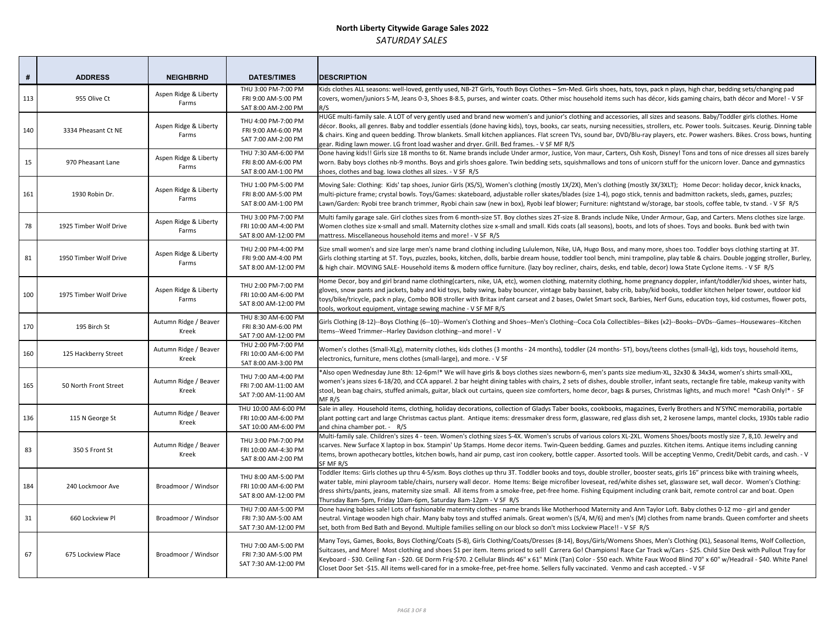| #   | <b>ADDRESS</b>         | <b>NEIGHBRHD</b>               | <b>DATES/TIMES</b>                                                   | <b>DESCRIPTION</b>                                                                                                                                                                                                                                                                                                                                                                      |
|-----|------------------------|--------------------------------|----------------------------------------------------------------------|-----------------------------------------------------------------------------------------------------------------------------------------------------------------------------------------------------------------------------------------------------------------------------------------------------------------------------------------------------------------------------------------|
| 113 | 955 Olive Ct           | Aspen Ridge & Liberty<br>Farms | THU 3:00 PM-7:00 PM<br>FRI 9:00 AM-5:00 PM<br>SAT 8:00 AM-2:00 PM    | Kids clothes ALL seasons: well-loved, gently used, NB-2T Girls, Youth Boys Clothes - Sm-M<br>covers, women/juniors S-M, Jeans 0-3, Shoes 8-8.5, purses, and winter coats. Other misc<br>R/S                                                                                                                                                                                             |
| 140 | 3334 Pheasant Ct NE    | Aspen Ridge & Liberty<br>Farms | THU 4:00 PM-7:00 PM<br>FRI 9:00 AM-6:00 PM<br>SAT 7:00 AM-2:00 PM    | HUGE multi-family sale. A LOT of very gently used and brand new women's and junior's cl<br>décor. Books, all genres. Baby and toddler essentials (done having kids), toys, books, car s<br>& chairs. King and queen bedding. Throw blankets. Small kitchen appliances. Flat screen T<br>gear. Riding lawn mower. LG front load washer and dryer. Grill. Bed frames. - V SF MF R/S       |
| 15  | 970 Pheasant Lane      | Aspen Ridge & Liberty<br>Farms | THU 7:30 AM-6:00 PM<br>FRI 8:00 AM-6:00 PM<br>SAT 8:00 AM-1:00 PM    | Done having kids!! Girls size 18 months to 6t. Name brands include Under armor, Justice,<br>worn. Baby boys clothes nb-9 months. Boys and girls shoes galore. Twin bedding sets, squ<br>shoes, clothes and bag. Iowa clothes all sizes. - V SF R/S                                                                                                                                      |
| 161 | 1930 Robin Dr.         | Aspen Ridge & Liberty<br>Farms | THU 1:00 PM-5:00 PM<br>FRI 8:00 AM-5:00 PM<br>SAT 8:00 AM-1:00 PM    | Moving Sale: Clothing: Kids' tap shoes, Junior Girls (XS/S), Women's clothing (mostly 1X/2<br>multi-picture frame; crystal bowls. Toys/Games: skateboard, adjustable roller skates/blad<br>Lawn/Garden: Ryobi tree branch trimmer, Ryobi chain saw (new in box), Ryobi leaf blowe                                                                                                       |
| 78  | 1925 Timber Wolf Drive | Aspen Ridge & Liberty<br>Farms | THU 3:00 PM-7:00 PM<br>FRI 10:00 AM-4:00 PM<br>SAT 8:00 AM-12:00 PM  | Multi family garage sale. Girl clothes sizes from 6 month-size 5T. Boy clothes sizes 2T-size<br>Women clothes size x-small and small. Maternity clothes size x-small and small. Kids coat:<br>mattress. Miscellaneous household items and more! - V SF R/S                                                                                                                              |
| 81  | 1950 Timber Wolf Drive | Aspen Ridge & Liberty<br>Farms | THU 2:00 PM-4:00 PM<br>FRI 9:00 AM-4:00 PM<br>SAT 8:00 AM-12:00 PM   | Size small women's and size large men's name brand clothing including Lululemon, Nike, I<br>Girls clothing starting at 5T. Toys, puzzles, books, kitchen, dolls, barbie dream house, todo<br>& high chair. MOVING SALE-Household items & modern office furniture. (lazy boy recline                                                                                                     |
| 100 | 1975 Timber Wolf Drive | Aspen Ridge & Liberty<br>Farms | THU 2:00 PM-7:00 PM<br>FRI 10:00 AM-6:00 PM<br>SAT 8:00 AM-12:00 PM  | Home Decor, boy and girl brand name clothing(carters, nike, UA, etc), women clothing, m<br>gloves, snow pants and jackets, baby and kid toys, baby swing, baby bouncer, vintage bab<br>toys/bike/tricycle, pack n play, Combo BOB stroller with Britax infant carseat and 2 bases,<br>tools, workout equipment, vintage sewing machine - V SF MF R/S                                    |
| 170 | 195 Birch St           | Autumn Ridge / Beaver<br>Kreek | THU 8:30 AM-6:00 PM<br>FRI 8:30 AM-6:00 PM<br>SAT 7:00 AM-12:00 PM   | Girls Clothing (8-12)--Boys Clothing (6--10)--Women's Clothing and Shoes--Men's Clothing<br>Items--Weed Trimmer--Harley Davidson clothing--and more! - V                                                                                                                                                                                                                                |
| 160 | 125 Hackberry Street   | Autumn Ridge / Beaver<br>Kreek | THU 2:00 PM-7:00 PM<br>FRI 10:00 AM-6:00 PM<br>SAT 8:00 AM-3:00 PM   | Women's clothes (Small-XLg), maternity clothes, kids clothes (3 months - 24 months), tod<br>electronics, furniture, mens clothes (small-large), and more. - V SF                                                                                                                                                                                                                        |
| 165 | 50 North Front Street  | Autumn Ridge / Beaver<br>Kreek | THU 7:00 AM-4:00 PM<br>FRI 7:00 AM-11:00 AM<br>SAT 7:00 AM-11:00 AM  | *Also open Wednesday June 8th: 12-6pm!* We will have girls & boys clothes sizes newbo<br>women's jeans sizes 6-18/20, and CCA apparel. 2 bar height dining tables with chairs, 2 se<br>stool, bean bag chairs, stuffed animals, guitar, black out curtains, queen size comforters, I<br>MF R/S                                                                                          |
| 136 | 115 N George St        | Autumn Ridge / Beaver<br>Kreek | THU 10:00 AM-6:00 PM<br>FRI 10:00 AM-6:00 PM<br>SAT 10:00 AM-6:00 PM | Sale in alley. Household items, clothing, holiday decorations, collection of Gladys Taber b<br>plant potting cart and large Christmas cactus plant. Antique items: dressmaker dress forr<br>and china chamber pot. - R/S                                                                                                                                                                |
| 83  | 350 S Front St         | Autumn Ridge / Beaver<br>Kreek | THU 3:00 PM-7:00 PM<br>FRI 10:00 AM-4:30 PM<br>SAT 8:00 AM-2:00 PM   | Multi-family sale. Children's sizes 4 - teen. Women's clothing sizes S-4X. Women's scrubs (<br>scarves. New Surface X laptop in box. Stampin' Up Stamps. Home decor items. Twin-Quee<br>items, brown apothecary bottles, kitchen bowls, hand air pump, cast iron cookery, bottle<br>SF MF R/S                                                                                           |
| 184 | 240 Lockmoor Ave       | Broadmoor / Windsor            | THU 8:00 AM-5:00 PM<br>FRI 10:00 AM-6:00 PM<br>SAT 8:00 AM-12:00 PM  | Toddler Items: Girls clothes up thru 4-5/xsm. Boys clothes up thru 3T. Toddler books and 1<br>water table, mini playroom table/chairs, nursery wall decor. Home Items: Beige microfib<br>dress shirts/pants, jeans, maternity size small. All items from a smoke-free, pet-free hom<br>Thursday 8am-5pm, Friday 10am-6pm, Saturday 8am-12pm - V SF R/S                                  |
| 31  | 660 Lockview Pl        | Broadmoor / Windsor            | THU 7:00 AM-5:00 PM<br>FRI 7:30 AM-5:00 AM<br>SAT 7:30 AM-12:00 PM   | Done having babies sale! Lots of fashionable maternity clothes - name brands like Mother<br>neutral. Vintage wooden high chair. Many baby toys and stuffed animals. Great women's<br>set, both from Bed Bath and Beyond. Multiple families selling on our block so don't miss L                                                                                                         |
| 67  | 675 Lockview Place     | Broadmoor / Windsor            | THU 7:00 AM-5:00 PM<br>FRI 7:30 AM-5:00 PM<br>SAT 7:30 AM-12:00 PM   | Many Toys, Games, Books, Boys Clothing/Coats (5-8), Girls Clothing/Coats/Dresses (8-14),<br>Suitcases, and More! Most clothing and shoes \$1 per item. Items priced to sell! Carrera<br>Keyboard - \$30. Ceiling Fan - \$20. GE Dorm Frig-\$70. 2 Cellular Blinds 46" x 61" Mink (Tan)<br>Closet Door Set -\$15. All items well-cared for in a smoke-free, pet-free home. Sellers fully |

Med. Girls shoes, hats, toys, pack n plays, high char, bedding sets/changing pad household items such has décor, kids gaming chairs, bath décor and More! - V SF

lothing and accessories, all sizes and seasons. Baby/Toddler girls clothes. Home seats, nursing necessities, strollers, etc. Power tools. Suitcases. Keurig. Dinning table TVs, sound bar, DVD/Blu-ray players, etc. Power washers. Bikes. Cross bows, hunting

, Von maur, Carters, Osh Kosh, Disney! Tons and tons of nice dresses all sizes barely uishmallows and tons of unicorn stuff for the unicorn lover. Dance and gymnastics

/2X), Men's clothing (mostly 3X/3XLT); Home Decor: holiday decor, knick knacks, des (size 1-4), pogo stick, tennis and badmitton rackets, sleds, games, puzzles; er; Furniture: nightstand w/storage, bar stools, coffee table, tv stand. - V SF R/S

e 8. Brands include Nike, Under Armour, Gap, and Carters. Mens clothes size large. ts (all seasons), boots, and lots of shoes. Toys and books. Bunk bed with twin

UA, Hugo Boss, and many more, shoes too. Toddler boys clothing starting at 3T. ddler tool bench, mini trampoline, play table & chairs. Double jogging stroller, Burley, er, chairs, desks, end table, decor) Iowa State Cyclone items. - V SF R/S

maternity clothing, home pregnancy doppler, infant/toddler/kid shoes, winter hats, by bassinet, baby crib, baby/kid books, toddler kitchen helper tower, outdoor kid s, Owlet Smart sock, Barbies, Nerf Guns, education toys, kid costumes, flower pots,

g--Coca Cola Collectibles--Bikes (x2)--Books--DVDs--Games--Housewares--Kitchen

ddler (24 months- 5T), boys/teens clothes (small-lg), kids toys, household items,

orn-6, men's pants size medium-XL, 32x30 & 34x34, women's shirts small-XXL, ets of dishes, double stroller, infant seats, rectangle fire table, makeup vanity with home decor, bags & purses, Christmas lights, and much more! \*Cash Only!\* - SF

books, cookbooks, magazines, Everly Brothers and N'SYNC memorabilia, portable m, glassware, red glass dish set, 2 kerosene lamps, mantel clocks, 1930s table radio

of various colors XL-2XL. Womens Shoes/boots mostly size 7, 8,10. Jewelry and en bedding. Games and puzzles. Kitchen items. Antique items including canning e capper. Assorted tools. Will be accepting Venmo, Credit/Debit cards, and cash. - V

toys, double stroller, booster seats, girls 16" princess bike with training wheels, per loveseat, red/white dishes set, glassware set, wall decor. Women's Clothing: ne. Fishing Equipment including crank bait, remote control car and boat. Open

erhood Maternity and Ann Taylor Loft. Baby clothes 0-12 mo - girl and gender  $s$  (S/4, M/6) and men's (M) clothes from name brands. Queen comforter and sheets Lockview Place!! - V SF R/S

), Boys/Girls/Womens Shoes, Men's Clothing (XL), Seasonal Items, Wolf Collection, Go! Champions! Race Car Track w/Cars - \$25. Child Size Desk with Pullout Tray for 1) Color - \$50 each. White Faux Wood Blind 70" x 60" w/Headrail - \$40. White Panel ly vaccinated. Venmo and cash accepted. - V SF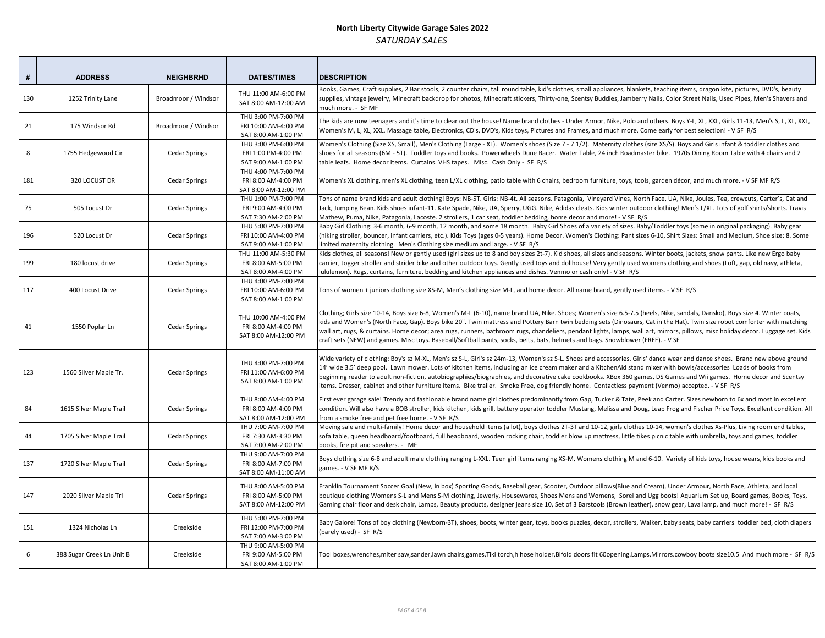| #   | <b>ADDRESS</b>            | <b>NEIGHBRHD</b>     | <b>DATES/TIMES</b>                                                  | <b>DESCRIPTION</b>                                                                                                                                                                                                                                                                                                                                                            |
|-----|---------------------------|----------------------|---------------------------------------------------------------------|-------------------------------------------------------------------------------------------------------------------------------------------------------------------------------------------------------------------------------------------------------------------------------------------------------------------------------------------------------------------------------|
| 130 | 1252 Trinity Lane         | Broadmoor / Windsor  | THU 11:00 AM-6:00 PM<br>SAT 8:00 AM-12:00 AM                        | Books, Games, Craft supplies, 2 Bar stools, 2 counter chairs, tall round table, kid's clothes<br>supplies, vintage jewelry, Minecraft backdrop for photos, Minecraft stickers, Thirty-one,<br>much more. - SF MF                                                                                                                                                              |
| 21  | 175 Windsor Rd            | Broadmoor / Windsor  | THU 3:00 PM-7:00 PM<br>FRI 10:00 AM-4:00 PM<br>SAT 8:00 AM-1:00 PM  | The kids are now teenagers and it's time to clear out the house! Name brand clothes - Ur<br>Women's M, L, XL, XXL. Massage table, Electronics, CD's, DVD's, Kids toys, Pictures and Fi                                                                                                                                                                                        |
| 8   | 1755 Hedgewood Cir        | <b>Cedar Springs</b> | THU 3:00 PM-6:00 PM<br>FRI 1:00 PM-4:00 PM<br>SAT 9:00 AM-1:00 PM   | Women's Clothing (Size XS, Small), Men's Clothing (Large - XL). Women's shoes (Size 7 - 1<br>shoes for all seasons (6M - 5T). Toddler toys and books. Powerwheels Dune Racer. Wat<br>table leafs. Home decor items. Curtains. VHS tapes. Misc. Cash Only - SF R/S                                                                                                             |
| 181 | 320 LOCUST DR             | <b>Cedar Springs</b> | THU 4:00 PM-7:00 PM<br>FRI 8:00 AM-4:00 PM<br>SAT 8:00 AM-12:00 PM  | Women's XL clothing, men's XL clothing, teen L/XL clothing, patio table with 6 chairs, bec                                                                                                                                                                                                                                                                                    |
| 75  | 505 Locust Dr             | <b>Cedar Springs</b> | THU 1:00 PM-7:00 PM<br>FRI 9:00 AM-4:00 PM<br>SAT 7:30 AM-2:00 PM   | Tons of name brand kids and adult clothing! Boys: NB-5T. Girls: NB-4t. All seasons. Patago<br>Jack, Jumping Bean. Kids shoes infant-11. Kate Spade, Nike, UA, Sperry, UGG. Nike, Adida<br>Mathew, Puma, Nike, Patagonia, Lacoste. 2 strollers, 1 car seat, toddler bedding, home d                                                                                            |
| 196 | 520 Locust Dr             | <b>Cedar Springs</b> | THU 5:00 PM-7:00 PM<br>FRI 10:00 AM-4:00 PM<br>SAT 9:00 AM-1:00 PM  | Baby Girl Clothing: 3-6 month, 6-9 month, 12 month, and some 18 month. Baby Girl Sho<br>(hiking stroller, bouncer, infant carriers, etc.). Kids Toys (ages 0-5 years). Home Decor. W<br>limited maternity clothing. Men's Clothing size medium and large. - V SF R/S                                                                                                          |
| 199 | 180 locust drive          | <b>Cedar Springs</b> | THU 11:00 AM-5:30 PM<br>FRI 8:00 AM-5:00 PM<br>SAT 8:00 AM-4:00 PM  | Kids clothes, all seasons! New or gently used (girl sizes up to 8 and boy sizes 2t-7). Kid sho<br>carrier, Jogger stroller and strider bike and other outdoor toys. Gently used toys and doll<br>lululemon). Rugs, curtains, furniture, bedding and kitchen appliances and dishes. Venmo                                                                                      |
| 117 | 400 Locust Drive          | <b>Cedar Springs</b> | THU 4:00 PM-7:00 PM<br>FRI 10:00 AM-6:00 PM<br>SAT 8:00 AM-1:00 PM  | Tons of women + juniors clothing size XS-M, Men's clothing size M-L, and home decor. Al                                                                                                                                                                                                                                                                                       |
| 41  | 1550 Poplar Ln            | <b>Cedar Springs</b> | THU 10:00 AM-4:00 PM<br>FRI 8:00 AM-4:00 PM<br>SAT 8:00 AM-12:00 PM | Clothing; Girls size 10-14, Boys size 6-8, Women's M-L (6-10), name brand UA, Nike. Shoe<br>kids and Women's (North Face, Gap). Boys bike 20". Twin mattress and Pottery Barn twir<br>wall art, rugs, & curtains. Home decor; area rugs, runners, bathroom rugs, chandeliers, p<br>craft sets (NEW) and games. Misc toys. Baseball/Softball pants, socks, belts, bats, helmet |
| 123 | 1560 Silver Maple Tr.     | <b>Cedar Springs</b> | THU 4:00 PM-7:00 PM<br>FRI 11:00 AM-6:00 PM<br>SAT 8:00 AM-1:00 PM  | Wide variety of clothing: Boy's sz M-XL, Men's sz S-L, Girl's sz 24m-13, Women's sz S-L. Sh<br>14' wide 3.5' deep pool. Lawn mower. Lots of kitchen items, including an ice cream mak<br>beginning reader to adult non-fiction, autobiographies/biographies, and decorative cake<br>items. Dresser, cabinet and other furniture items. Bike trailer. Smoke Free, dog friendly |
| 84  | 1615 Silver Maple Trail   | <b>Cedar Springs</b> | THU 8:00 AM-4:00 PM<br>FRI 8:00 AM-4:00 PM<br>SAT 8:00 AM-12:00 PM  | First ever garage sale! Trendy and fashionable brand name girl clothes predominantly fro<br>condition. Will also have a BOB stroller, kids kitchen, kids grill, battery operator toddler N<br>from a smoke free and pet free home. - V SF R/S                                                                                                                                 |
| 44  | 1705 Silver Maple Trail   | <b>Cedar Springs</b> | THU 7:00 AM-7:00 PM<br>FRI 7:30 AM-3:30 PM<br>SAT 7:00 AM-2:00 PM   | Moving sale and multi-family! Home decor and household items (a lot), boys clothes 2T-3<br>sofa table, queen headboard/footboard, full headboard, wooden rocking chair, toddler b<br>books, fire pit and speakers. - MF                                                                                                                                                       |
| 137 | 1720 Silver Maple Trail   | <b>Cedar Springs</b> | THU 9:00 AM-7:00 PM<br>FRI 8:00 AM-7:00 PM<br>SAT 8:00 AM-11:00 AM  | Boys clothing size 6-8 and adult male clothing ranging L-XXL. Teen girl items ranging XS-M<br>games. - V SF MF R/S                                                                                                                                                                                                                                                            |
| 147 | 2020 Silver Maple Trl     | <b>Cedar Springs</b> | THU 8:00 AM-5:00 PM<br>FRI 8:00 AM-5:00 PM<br>SAT 8:00 AM-12:00 PM  | Franklin Tournament Soccer Goal (New, in box) Sporting Goods, Baseball gear, Scooter, C<br>boutique clothing Womens S-L and Mens S-M clothing, Jewerly, Housewares, Shoes Men<br>Gaming chair floor and desk chair, Lamps, Beauty products, designer jeans size 10, Set of                                                                                                    |
| 151 | 1324 Nicholas Ln          | Creekside            | THU 5:00 PM-7:00 PM<br>FRI 12:00 PM-7:00 PM<br>SAT 7:00 AM-3:00 PM  | Baby Galore! Tons of boy clothing (Newborn-3T), shoes, boots, winter gear, toys, books p<br>(barely used) - SF R/S                                                                                                                                                                                                                                                            |
| 6   | 388 Sugar Creek Ln Unit B | Creekside            | THU 9:00 AM-5:00 PM<br>FRI 9:00 AM-5:00 PM<br>SAT 8:00 AM-1:00 PM   | Tool boxes, wrenches, miter saw, sander, lawn chairs, games, Tiki torch, hhose holder, Bifold                                                                                                                                                                                                                                                                                 |

s, small appliances, blankets, teaching items, dragon kite, pictures, DVD's, beauty Scentsy Buddies, Jamberry Nails, Color Street Nails, Used Pipes, Men's Shavers and

nder Armor, Nike, Polo and others. Boys Y-L, XL, XXL, Girls 11-13, Men's S, L, XL, XXL, rames, and much more. Come early for best selection! - V SF R/S

 $\overline{Z}$  1/2). Maternity clothes (size XS/S). Boys and Girls infant & toddler clothes and ter Table, 24 inch Roadmaster bike. 1970s Dining Room Table with 4 chairs and 2

droom furniture, toys, tools, garden décor, and much more. - V SF MF R/S

onia, Vineyard Vines, North Face, UA, Nike, Joules, Tea, crewcuts, Carter's, Cat and as cleats. Kids winter outdoor clothing! Men's L/XL. Lots of golf shirts/shorts. Travis decor and more! - V SF R/S

es of a variety of sizes. Baby/Toddler toys (some in original packaging). Baby gear (hthen's Clothing: Pant sizes 6-10, Shirt Sizes: Small and Medium, Shoe size: 8. Some

oes, all sizes and seasons. Winter boots, jackets, snow pants. Like new Ergo baby lhouse! Very gently used womens clothing and shoes (Loft, gap, old navy, athleta, or cash only! - V SF R/S

Il name brand, gently used items. - V SF R/S

es; Women's size 6.5-7.5 (heels, Nike, sandals, Dansko), Boys size 4. Winter coats, hideding sets (Dinosaurs, Cat in the Hat). Twin size robot comforter with matching sets (Dinosaurs, Cat in the endant lights, lamps, wall art, mirrors, pillows, misc holiday decor. Luggage set. Kids ts and bags. Snowblower (FREE). - V SF

noes and accessories. Girls' dance wear and dance shoes. Brand new above ground er and a KitchenAid stand mixer with bowls/accessories Loads of books from cookbooks. XBox 360 games, DS Games and Wii games. Home decor and Scentsy home. Contactless payment (Venmo) accepted. - V SF R/S

om Gap, Tucker & Tate, Peek and Carter. Sizes newborn to 6x and most in excellent Mustang, Melissa and Doug, Leap Frog and Fischer Price Toys. Excellent condition. All

3T and 10-12, girls clothes 10-14, women's clothes Xs-Plus, Living room end tables, blow up mattress, little tikes picnic table with umbrella, toys and games, toddler

A, Womens clothing M and 6-10. Variety of kids toys, house wears, kids books and

Dutdoor pillows(Blue and Cream), Under Armour, North Face, Athleta, and local ns and Womens, Sorel and Ugg boots! Aquarium Set up, Board games, Books, Toys, Gaming chair floor floor and desk chairs is and desk chairs. Beauty products, designer in the SF R/S

Baby Galore Sof of boy clother. Toons of an arigation-ston-ston-ston-stop, winter gear, tops, to puzzles, decor, strollers, Walker, baby seats, baby carriers toddler bed, cloth diapers

I doors fit 60opening.Lamps,Mirrors.cowboy boots size10.5 And much more - SF R/S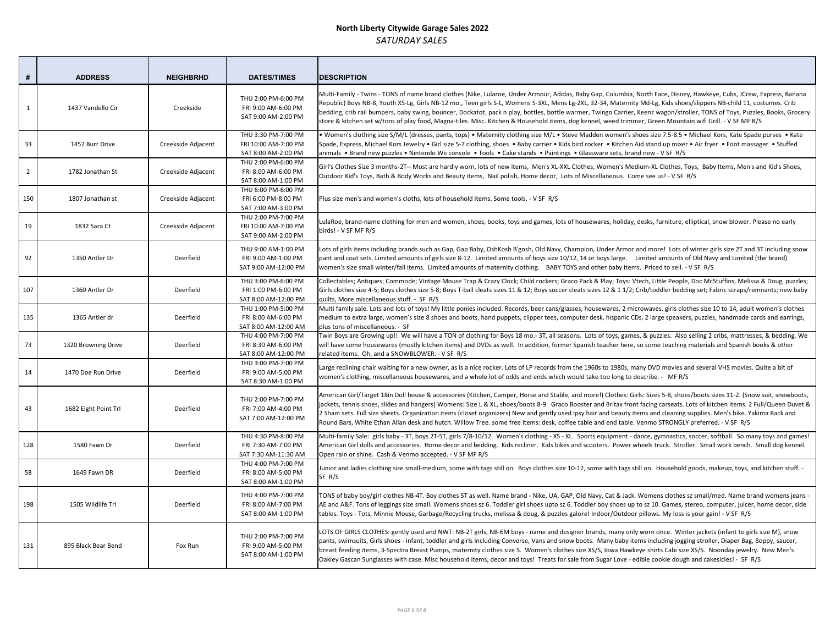| #              | <b>ADDRESS</b>       | <b>NEIGHBRHD</b>   | <b>DATES/TIMES</b>                                                 | <b>DESCRIPTION</b>                                                                                                                                                                                                                                                                                                                                                          |
|----------------|----------------------|--------------------|--------------------------------------------------------------------|-----------------------------------------------------------------------------------------------------------------------------------------------------------------------------------------------------------------------------------------------------------------------------------------------------------------------------------------------------------------------------|
| $\mathbf{1}$   | 1437 Vandello Cir    | Creekside          | THU 2:00 PM-6:00 PM<br>FRI 9:00 AM-6:00 PM<br>SAT 9:00 AM-2:00 PM  | Multi-Family - Twins - TONS of name brand clothes (Nike, Lularoe, Under Armour, Adidas<br>Republic) Boys NB-8, Youth XS-Lg, Girls NB-12 mo., Teen girls S-L, Womens S-3XL, Mens L<br>bedding, crib rail bumpers, baby swing, bouncer, Dockatot, pack n play, bottles, bottle wa<br>store & kitchen set w/tons of play food, Magna-tiles. Misc. Kitchen & Household items, d |
| 33             | 1457 Burr Drive      | Creekside Adjacent | THU 3:30 PM-7:00 PM<br>FRI 10:00 AM-7:00 PM<br>SAT 8:00 AM-2:00 PM | . Women's clothing size S/M/L (dresses, pants, tops) . Maternity clothing size M/L . Ste<br>Spade, Express, Michael Kors Jewelry . Girl size 5-7 clothing, shoes . Baby carrier . Kids<br>animals • Brand new puzzles • Nintendo Wii console • Tools • Cake stands • Paintings                                                                                              |
| $\overline{2}$ | 1782 Jonathan St     | Creekside Adjacent | THU 2:00 PM-6:00 PM<br>FRI 8:00 AM-6:00 PM<br>SAT 8:00 AM-1:00 PM  | Girl's Clothes Size 3 months-2T-- Most are hardly worn, lots of new items, Men's XL-XXL<br>Outdoor Kid's Toys, Bath & Body Works and Beauty items, Nail polish, Home decor, Lots                                                                                                                                                                                            |
| 150            | 1807 Jonathan st     | Creekside Adjacent | THU 6:00 PM-6:00 PM<br>FRI 6:00 PM-8:00 PM<br>SAT 7:00 AM-3:00 PM  | Plus size men's and women's cloths, lots of household items. Some tools. - V SF R/S                                                                                                                                                                                                                                                                                         |
| 19             | 1832 Sara Ct         | Creekside Adjacent | THU 2:00 PM-7:00 PM<br>FRI 10:00 AM-7:00 PM<br>SAT 9:00 AM-2:00 PM | LulaRoe, brand-name clothing for men and women, shoes, books, toys and games, lots o<br>birds! - V SF MF R/S                                                                                                                                                                                                                                                                |
| 92             | 1350 Antler Dr       | Deerfield          | THU 9:00 AM-1:00 PM<br>FRI 9:00 AM-1:00 PM<br>SAT 9:00 AM-12:00 PM | Lots of girls items including brands such as Gap, Gap Baby, OshKosh B'gosh, Old Navy, Ch<br>pant and coat sets. Limited amounts of girls size 8-12. Limited amounts of boys size 10/1<br>women's size small winter/fall items. Limited amounts of maternity clothing. BABY TO'                                                                                              |
| 107            | 1360 Antler Dr       | Deerfield          | THU 3:00 PM-6:00 PM<br>FRI 1:00 PM-6:00 PM<br>SAT 8:00 AM-12:00 PM | Collectables; Antiques; Commode; Vintage Mouse Trap & Crazy Clock; Child rockers; Gra<br>Girls clothes size 4-5; Boys clothes size 5-8; Boys T-ball cleats sizes 11 & 12; Boys soccer c<br>quilts, More miscellaneous stuff. - SF R/S                                                                                                                                       |
| 135            | 1365 Antler dr       | Deerfield          | THU 1:00 PM-5:00 PM<br>FRI 8:00 AM-6:00 PM<br>SAT 8:00 AM-12:00 AM | Multi family sale. Lots and lots of toys! My little ponies included. Records, beer cans/glas<br>medium to extra large, women's size 8 shoes and boots, hand puppets, clipper tees, com<br>plus tons of miscellaneous. - SF                                                                                                                                                  |
| 73             | 1320 Browning Drive  | Deerfield          | THU 4:00 PM-7:00 PM<br>FRI 8:30 AM-6:00 PM<br>SAT 8:00 AM-12:00 PM | Twin Boys are Growing up!! We will have a TON of clothing for Boys 18 mo.- 3T, all seaso<br>will have some housewares (mostly kitchen items) and DVDs as well. In addition, former<br>related items. Oh, and a SNOWBLOWER. - V SF R/S                                                                                                                                       |
| 14             | 1470 Doe Run Drive   | Deerfield          | THU 3:00 PM-7:00 PM<br>FRI 9:00 AM-5:00 PM<br>SAT 8:30 AM-1:00 PM  | Large reclining chair waiting for a new owner, as is a nice rocker. Lots of LP records from<br>women's clothing, miscellaneous housewares, and a whole lot of odds and ends which w                                                                                                                                                                                         |
| 43             | 1682 Eight Point Trl | Deerfield          | THU 2:00 PM-7:00 PM<br>FRI 7:00 AM-4:00 PM<br>SAT 7:00 AM-12:00 PM | American Girl/Target 18in Doll house & accessories (Kitchen, Camper, Horse and Stable,<br>jackets, tennis shoes, slides and hangers) Womens: Size L & XL, shoes/boots 8-9. Graco E<br>2 Sham sets. Full size sheets. Organization items (closet organizers) New and gently used<br>Round Bars, White Ethan Allan desk and hutch. Willow Tree. some free items: desk, coffe  |
| 128            | 1580 Fawn Dr         | Deerfield          | THU 4:30 PM-8:00 PM<br>FRI 7:30 AM-7:00 PM<br>SAT 7:30 AM-11:30 AM | Multi-family Sale: girls baby - 3T, boys 2T-5T, girls 7/8-10/12. Women's clothing - XS - XL<br>American Girl dolls and accessories. Home decor and bedding. Kids recliner. Kids bikes<br>Open rain or shine. Cash & Venmo accepted. - V SF MF R/S                                                                                                                           |
| 58             | 1649 Fawn DR         | Deerfield          | THU 4:00 PM-7:00 PM<br>FRI 8:00 AM-5:00 PM<br>SAT 8:00 AM-1:00 PM  | Junior and ladies clothing size small-medium, some with tags still on. Boys clothes size 1<br>SF R/S                                                                                                                                                                                                                                                                        |
| 198            | 1505 Wildlife Trl    | Deerfield          | THU 4:00 PM-7:00 PM<br>FRI 8:00 AM-7:00 PM<br>SAT 8:00 AM-1:00 PM  | TONS of baby boy/girl clothes NB-4T. Boy clothes 5T as well. Name brand - Nike, UA, GAP<br>AE and A&F. Tons of leggings size small. Womens shoes sz 6. Toddler girl shoes upto sz 6.<br>tables. Toys - Tots, Minnie Mouse, Garbage/Recycling trucks, melissa & doug, & puzzles g                                                                                            |
| 131            | 895 Black Bear Bend  | Fox Run            | THU 2:00 PM-7:00 PM<br>FRI 9:00 AM-5:00 PM<br>SAT 8:00 AM-1:00 PM  | LOTS OF GIRLS CLOTHES: gently used and NWT: NB-2T girls, NB-6M boys - name and desig<br>pants, swimsuits, Girls shoes - infant, toddler and girls including Converse, Vans and snov<br>breast feeding items, 3-Spectra Breast Pumps, maternity clothes size S. Women's clothe<br>Oakley Gascan Sunglasses with case. Misc household items, decor and toys! Treats for sa    |

s, Baby Gap, Columbia, North Face, Disney, Hawkeye, Cubs, JCrew, Express, Banana Republic) Boys Naternity Md-Lg, Kids shoes/slippers NB-child 11, costumes. Cribarmer, Twingo Carrier, Keenz wagon/stroller, TONS of Toys, Puzzles, Books, Grocery log kennel, weed trimmer, Green Mountain wifi Grill. - V SF MF R/S

ve Madden women's shoes size 7.5-8.5 • Michael Kors, Kate Spade purses • Kate bird rocker • Kitchen Aid stand up mixer • Air fryer • Foot massager • Stuffed • Glassware sets, brand new - V SF R/S

Clothes, Women's Medium-XL Clothes, Toys, Baby Items, Men's and Kid's Shoes, of Miscellaneous. Come see us! - V SF R/S

of housewares, holiday, desks, furniture, elliptical, snow blower. Please no early

lampion, Under Armor and more! Lots of winter girls size 2T and 3T including snow 12, 14 or boys large. Limited amounts of Old Navy and Limited (the brand) YS and other baby items. Priced to sell. - V SF R/S

co Pack & Play; Toys: Vtech, Little People, Doc McStuffins, Melissa & Doug, puzzles; cleats sizes 12 & 1 1/2; Crib/toddler bedding set; Fabric scraps/remnants; new baby

sses, housewares, 2 microwaves, girls clothes size 10 to 14, adult women's clothes iputer desk, hispanic CDs, 2 large speakers, puzzles, hand made cards and earrings,

ons. Lots of toys, games, & puzzles. Also selling 2 cribs, mattresses, & bedding. We Spanish teacher here, so some teaching materials and Spanish books & other

the 1960s to 1980s, many DVD movies and several VHS movies. Quite a bit of vould take too long to describe. - MF R/S

and more!) Clothes: Girls: Sizes 5-8, shoes/boots sizes 11-2. (Snow suit, snowboots, Booster and Britax front facing carseats. Lots of kitchen items. 2 Full/Queen Duvet & Ipsy hair and beauty items and cleaning supplies. Men's bike. Yakima Rack and ee table and end table. Venmo STRONGLY preferred. - V SF R/S

.. Sports equipment - dance, gymnastics, soccer, softball. So many toys and games! and scooters. Power wheels truck. Stroller. Small work bench. Small dog kennel.

10-12, some with tags still on. Household goods, makeup, toys, and kitchen stuff. -

P, Old Navy, Cat & Jack. Womens clothes sz small/med. Name brand womens jeans -. Toddler boy shoes up to sz 10. Games, stereo, computer, juicer, home decor, side galore! Indoor/Outdoor pillows. My loss is your gain! - V SF R/S

igner brands, many only worn once. Winter jackets (infant to girls size M), snow w boots. Many baby items including jogging stroller, Diaper Bag, Boppy, saucer, es size XS/S, Iowa Hawkeye shirts Cabi size XS/S. Noonday jewelry. New Men's ale from Sugar Love - edible cookie dough and cakesicles! - SF R/S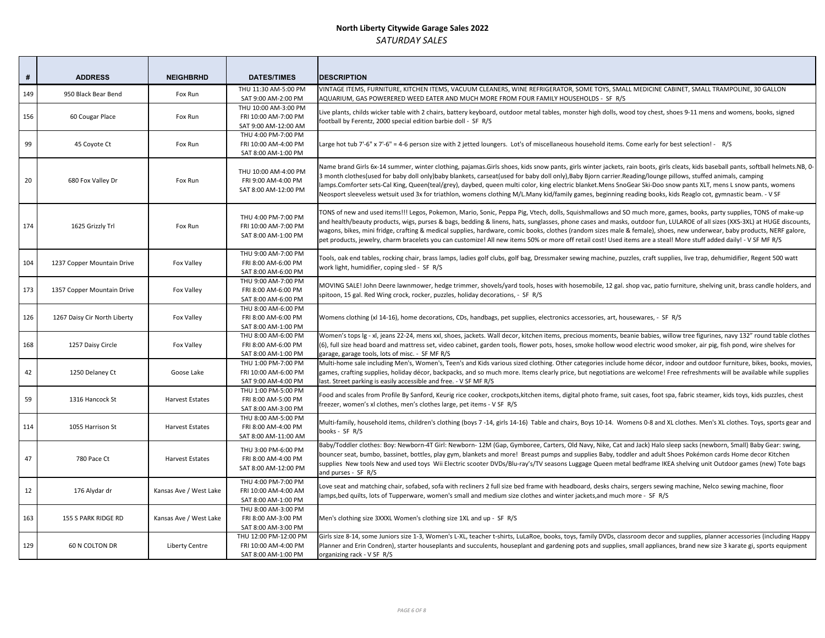| #   | <b>ADDRESS</b>               | <b>NEIGHBRHD</b>       | <b>DATES/TIMES</b>                                                   | <b>DESCRIPTION</b>                                                                                                                                                                                                                                                                                                                                                           |
|-----|------------------------------|------------------------|----------------------------------------------------------------------|------------------------------------------------------------------------------------------------------------------------------------------------------------------------------------------------------------------------------------------------------------------------------------------------------------------------------------------------------------------------------|
| 149 | 950 Black Bear Bend          | Fox Run                | THU 11:30 AM-5:00 PM<br>SAT 9:00 AM-2:00 PM                          | VINTAGE ITEMS, FURNITURE, KITCHEN ITEMS, VACUUM CLEANERS, WINE REFRIGERATOR<br>AQUARIUM, GAS POWERERED WEED EATER AND MUCH MORE FROM FOUR FAMILY HOU                                                                                                                                                                                                                         |
| 156 | 60 Cougar Place              | Fox Run                | THU 10:00 AM-3:00 PM<br>FRI 10:00 AM-7:00 PM<br>SAT 9:00 AM-12:00 AM | Live plants, childs wicker table with 2 chairs, battery keyboard, outdoor metal tables, mo<br>football by Ferentz, 2000 special edition barbie doll - SF R/S                                                                                                                                                                                                                 |
| 99  | 45 Coyote Ct                 | Fox Run                | THU 4:00 PM-7:00 PM<br>FRI 10:00 AM-4:00 PM<br>SAT 8:00 AM-1:00 PM   | Large hot tub 7'-6" x 7'-6" = 4-6 person size with 2 jetted loungers. Lot's of miscellaneous                                                                                                                                                                                                                                                                                 |
| 20  | 680 Fox Valley Dr            | Fox Run                | THU 10:00 AM-4:00 PM<br>FRI 9:00 AM-4:00 PM<br>SAT 8:00 AM-12:00 PM  | Name brand Girls 6x-14 summer, winter clothing, pajamas.Girls shoes, kids snow pants, g<br>3 month clothes(used for baby doll only)baby blankets, carseat(used for baby doll only), B<br>lamps.Comforter sets-Cal King, Queen(teal/grey), daybed, queen multi color, king electrio<br>Neosport sleeveless wetsuit used 3x for triathlon, womens clothing M/L.Many kid/family |
| 174 | 1625 Grizzly Trl             | Fox Run                | THU 4:00 PM-7:00 PM<br>FRI 10:00 AM-7:00 PM<br>SAT 8:00 AM-1:00 PM   | TONS of new and used items!!! Legos, Pokemon, Mario, Sonic, Peppa Pig, Vtech, dolls, So<br>and health/beauty products, wigs, purses & bags, bedding & linens, hats, sunglasses, pho<br>wagons, bikes, mini fridge, crafting & medical supplies, hardware, comic books, clothes (i<br>pet products, jewelry, charm bracelets you can customize! All new items 50% or more of  |
| 104 | 1237 Copper Mountain Drive   | Fox Valley             | THU 9:00 AM-7:00 PM<br>FRI 8:00 AM-6:00 PM<br>SAT 8:00 AM-6:00 PM    | Tools, oak end tables, rocking chair, brass lamps, ladies golf clubs, golf bag, Dressmaker s<br>work light, humidifier, coping sled - SF R/S                                                                                                                                                                                                                                 |
| 173 | 1357 Copper Mountain Drive   | Fox Valley             | THU 9:00 AM-7:00 PM<br>FRI 8:00 AM-6:00 PM<br>SAT 8:00 AM-6:00 PM    | MOVING SALE! John Deere lawnmower, hedge trimmer, shovels/yard tools, hoses with h<br>spitoon, 15 gal. Red Wing crock, rocker, puzzles, holiday decorations, - SF R/S                                                                                                                                                                                                        |
| 126 | 1267 Daisy Cir North Liberty | Fox Valley             | THU 8:00 AM-6:00 PM<br>FRI 8:00 AM-6:00 PM<br>SAT 8:00 AM-1:00 PM    | Womens clothing (xl 14-16), home decorations, CDs, handbags, pet supplies, electronics                                                                                                                                                                                                                                                                                       |
| 168 | 1257 Daisy Circle            | Fox Valley             | THU 8:00 AM-6:00 PM<br>FRI 8:00 AM-6:00 PM<br>SAT 8:00 AM-1:00 PM    | Women's tops Ig - xl, jeans 22-24, mens xxl, shoes, jackets. Wall decor, kitchen items, pre<br>(6), full size head board and mattress set, video cabinet, garden tools, flower pots, hoses<br>garage, garage tools, lots of misc. - SF MF R/S                                                                                                                                |
| 42  | 1250 Delaney Ct              | Goose Lake             | THU 1:00 PM-7:00 PM<br>FRI 10:00 AM-6:00 PM<br>SAT 9:00 AM-4:00 PM   | Multi-home sale including Men's, Women's, Teen's and Kids various sized clothing. Other<br>games, crafting supplies, holiday décor, backpacks, and so much more. Items clearly price<br>last. Street parking is easily accessible and free. - V SF MF R/S                                                                                                                    |
| 59  | 1316 Hancock St              | <b>Harvest Estates</b> | THU 1:00 PM-5:00 PM<br>FRI 8:00 AM-5:00 PM<br>SAT 8:00 AM-3:00 PM    | Food and scales from Profile By Sanford, Keurig rice cooker, crockpots, kitchen items, digi<br>freezer, women's xl clothes, men's clothes large, pet items - V SF R/S                                                                                                                                                                                                        |
| 114 | 1055 Harrison St             | <b>Harvest Estates</b> | THU 8:00 AM-5:00 PM<br>FRI 8:00 AM-4:00 PM<br>SAT 8:00 AM-11:00 AM   | Multi-family, household items, children's clothing (boys 7 -14, girls 14-16) Table and chai<br>books - SF R/S                                                                                                                                                                                                                                                                |
| 47  | 780 Pace Ct                  | <b>Harvest Estates</b> | THU 3:00 PM-6:00 PM<br>FRI 8:00 AM-4:00 PM<br>SAT 8:00 AM-12:00 PM   | Baby/Toddler clothes: Boy: Newborn-4T Girl: Newborn-12M (Gap, Gymboree, Carters, O<br>bouncer seat, bumbo, bassinet, bottles, play gym, blankets and more! Breast pumps and<br>supplies New tools New and used toys Wii Electric scooter DVDs/Blu-ray's/TV seasons L<br>and purses - SF R/S                                                                                  |
| 12  | 176 Alydar dr                | Kansas Ave / West Lake | THU 4:00 PM-7:00 PM<br>FRI 10:00 AM-4:00 AM<br>SAT 8:00 AM-1:00 PM   | Love seat and matching chair, sofabed, sofa with recliners 2 full size bed frame with head<br>lamps, bed quilts, lots of Tupperware, women's small and medium size clothes and winte                                                                                                                                                                                         |
| 163 | 155 S PARK RIDGE RD          | Kansas Ave / West Lake | THU 8:00 AM-3:00 PM<br>FRI 8:00 AM-3:00 PM<br>SAT 8:00 AM-3:00 PM    | Men's clothing size 3XXXL Women's clothing size 1XL and up - SF R/S                                                                                                                                                                                                                                                                                                          |
| 129 | 60 N COLTON DR               | Liberty Centre         | THU 12:00 PM-12:00 PM<br>FRI 10:00 AM-4:00 PM<br>SAT 8:00 AM-1:00 PM | Girls size 8-14, some Juniors size 1-3, Women's L-XL, teacher t-shirts, LuLaRoe, books, toy<br>Planner and Erin Condren), starter houseplants and succulents, houseplant and gardening<br>organizing rack - V SF R/S                                                                                                                                                         |

R, SOME TOYS, SMALL MEDICINE CABINET, SMALL TRAMPOLINE, 30 GALLON JSEHOLDS - SF R/S

Inster high dolls, wood toy chest, shoes 9-11 mens and womens, books, signed

Is household items. Come early for best selection! - R/S

girls winter jackets, rain boots, girls cleats, kids baseball pants, softball helmets.NB, 0-3aby Bjorn carrier. Reading/lounge pillows, stuffed animals, camping ic blanket.Mens SnoGear Ski-Doo snow pants XLT, mens L snow pants, womens ness, beginning reading books, kids Reaglo cot, gymnastic beam. - V SF

quishmallows and SO much more, games, books, party supplies, TONS of make-up and cases and masks, outdoor fun, LULAROE of all sizes (XXS-3XL) at HUGE discounts, random sizes male & female), shoes, new underwear, baby products, NERF galore, ff retail cost! Used items are a steal! More stuff added daily! - V SF MF R/S

sewing machine, puzzles, craft supplies, live trap, dehumidifier, Regent 500 watt

nosemobile, 12 gal. shop vac, patio furniture, shelving unit, brass candle holders, and

accessories, art, housewares, - SF R/S

ecious moments, beanie babies, willow tree figurines, navy 132" round table clothes ), smoke hollow wood electric wood smoker, air pig, fish pond, wire shelves for

categories include home décor, indoor and outdoor furniture, bikes, books, movies, e, but negotiations are welcome! Free refreshments will be available while supplies

ital photo frame, suit cases, foot spa, fabric steamer, kids toys, kids puzzles, chest

irs, Boys 10-14. Womens 0-8 and XL clothes. Men's XL clothes. Toys, sports gear and

Ild Navy, Nike, Cat and Jack) Halo sleep sacks (newborn, Small) Baby Gear: swing, I supplies Baby, toddler and adult Shoes Pokémon cards Home decor Kitchen uggage Queen metal bedframe IKEA shelving unit Outdoor games (new) Tote bags

dboard, desks chairs, sergers sewing machine, Nelco sewing machine, floor r jackets, and much more - SF R/S

ys, family DVDs, classroom decor and supplies, planner accessories (including Happy g pots and supplies, small appliances, brand new size 3 karate gi, sports equipment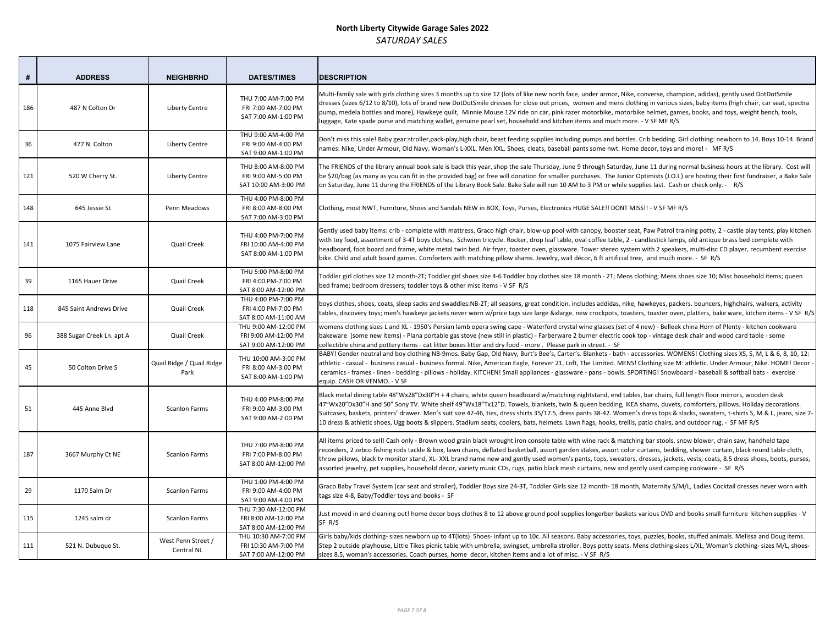| #   | <b>ADDRESS</b>            | <b>NEIGHBRHD</b>                  | <b>DATES/TIMES</b>                                                   | <b>DESCRIPTION</b>                                                                                                                                                                                                                                                                                                                                                            |
|-----|---------------------------|-----------------------------------|----------------------------------------------------------------------|-------------------------------------------------------------------------------------------------------------------------------------------------------------------------------------------------------------------------------------------------------------------------------------------------------------------------------------------------------------------------------|
| 186 | 487 N Colton Dr           | <b>Liberty Centre</b>             | THU 7:00 AM-7:00 PM<br>FRI 7:00 AM-7:00 PM<br>SAT 7:00 AM-1:00 PM    | Multi-family sale with girls clothing sizes 3 months up to size 12 (lots of like new north fa<br>dresses (sizes 6/12 to 8/10), lots of brand new DotDotSmile dresses for close out prices,<br>pump, medela bottles and more), Hawkeye quilt, Minnie Mouse 12V ride on car, pink ra<br>luggage, Kate spade purse and matching wallet, genuine pearl set, household and kitcher |
| 36  | 477 N. Colton             | <b>Liberty Centre</b>             | THU 9:00 AM-4:00 PM<br>FRI 9:00 AM-4:00 PM<br>SAT 9:00 AM-1:00 PM    | Don't miss this sale! Baby gear:stroller, pack-play, high chair, beast feeding supplies includ<br>names: Nike, Under Armour, Old Navy. Woman's L-XXL. Men XXL. Shoes, cleats, baseball                                                                                                                                                                                        |
| 121 | 520 W Cherry St.          | <b>Liberty Centre</b>             | THU 8:00 AM-8:00 PM<br>FRI 9:00 AM-5:00 PM<br>SAT 10:00 AM-3:00 PM   | The FRIENDS of the library annual book sale is back this year, shop the sale Thursday, Jun<br>be \$20/bag (as many as you can fit in the provided bag) or free will donation for smaller<br>on Saturday, June 11 during the FRIENDS of the Library Book Sale. Bake Sale will run 10 A                                                                                         |
| 148 | 645 Jessie St             | Penn Meadows                      | THU 4:00 PM-8:00 PM<br>FRI 8:00 AM-8:00 PM<br>SAT 7:00 AM-3:00 PM    | Clothing, most NWT, Furniture, Shoes and Sandals NEW in BOX, Toys, Purses, Electronics                                                                                                                                                                                                                                                                                        |
| 141 | 1075 Fairview Lane        | Quail Creek                       | THU 4:00 PM-7:00 PM<br>FRI 10:00 AM-4:00 PM<br>SAT 8:00 AM-1:00 PM   | Gently used baby items: crib - complete with mattress, Graco high chair, blow-up pool w<br>with toy food, assortment of 3-4T boys clothes, Schwinn tricycle. Rocker, drop leaf table<br>headboard, foot board and frame, white metal twin bed. Air fryer, toaster oven, glasswa<br>bike. Child and adult board games. Comforters with matching pillow shams. Jewelry, wal     |
| 39  | 1165 Hauer Drive          | Quail Creek                       | THU 5:00 PM-8:00 PM<br>FRI 4:00 PM-7:00 PM<br>SAT 8:00 AM-12:00 PM   | Toddler girl clothes size 12 month-2T; Toddler girl shoes size 4-6 Toddler boy clothes size<br>bed frame; bedroom dressers; toddler toys & other misc items - V SF R/S                                                                                                                                                                                                        |
| 118 | 845 Saint Andrews Drive   | Quail Creek                       | THU 4:00 PM-7:00 PM<br>FRI 4:00 PM-7:00 PM<br>SAT 8:00 AM-11:00 AM   | boys clothes, shoes, coats, sleep sacks and swaddles:NB-2T; all seasons, great condition.<br>tables, discovery toys; men's hawkeye jackets never worn w/price tags size large &xlarge                                                                                                                                                                                         |
| 96  | 388 Sugar Creek Ln. apt A | Quail Creek                       | THU 9:00 AM-12:00 PM<br>FRI 9:00 AM-12:00 PM<br>SAT 9:00 AM-12:00 PM | womens clothing sizes L and XL - 1950's Persian lamb opera swing cape - Waterford cryst<br>bakeware (some new items) - Plana portable gas stove (new still in plastic) - Farberware<br>collectible china and pottery items - cat litter boxes litter and dry food - more. Please p                                                                                            |
| 45  | 50 Colton Drive S         | Quail Ridge / Quail Ridge<br>Park | THU 10:00 AM-3:00 PM<br>FRI 8:00 AM-3:00 PM<br>SAT 8:00 AM-1:00 PM   | BABY! Gender neutral and boy clothing NB-9mos. Baby Gap, Old Navy, Burt's Bee's, Carte<br>athletic - casual - business casual - business formal. Nike, American Eagle, Forever 21, Lo<br>ceramics - frames - linen - bedding - pillows - holiday. KITCHEN! Small appliances - glassv<br>equip. CASH OR VENMO. - V SF                                                          |
| 51  | 445 Anne Blvd             | <b>Scanlon Farms</b>              | THU 4:00 PM-8:00 PM<br>FRI 9:00 AM-3:00 PM<br>SAT 9:00 AM-2:00 PM    | Black metal dining table 48"Wx28"Dx30"H + 4 chairs, white queen headboard w/matchir<br>47"Wx20"Dx30"H and 50" Sony TV. White shelf 49"Wx18"Tx12"D. Towels, blankets, twin<br>Suitcases, baskets, printers' drawer. Men's suit size 42-46, ties, dress shirts 35/17.5, dres<br>10 dress & athletic shoes, Ugg boots & slippers. Stadium seats, coolers, bats, helmets. La      |
| 187 | 3667 Murphy Ct NE         | <b>Scanlon Farms</b>              | THU 7:00 PM-8:00 PM<br>FRI 7:00 PM-8:00 PM<br>SAT 8:00 AM-12:00 PM   | All items priced to sell! Cash only - Brown wood grain black wrought iron console table w<br>recorders, 2 zebco fishing rods tackle & box, lawn chairs, deflated basketball, assort gard<br>throw pillows, black tv monitor stand, XL-XXL brand name new and gently used women's<br>assorted jewelry, pet supplies, household decor, variety music CDs, rugs, patio black mes |
| 29  | 1170 Salm Dr              | <b>Scanlon Farms</b>              | THU 1:00 PM-4:00 PM<br>FRI 9:00 AM-4:00 PM<br>SAT 9:00 AM-4:00 PM    | Graco Baby Travel System (car seat and stroller), Toddler Boys size 24-3T, Toddler Girls si<br>tags size 4-8, Baby/Toddler toys and books - SF                                                                                                                                                                                                                                |
| 115 | 1245 salm dr              | <b>Scanlon Farms</b>              | THU 7:30 AM-12:00 PM<br>FRI 8:00 AM-12:00 PM<br>SAT 8:00 AM-12:00 PM | Just moved in and cleaning out! home decor boys clothes 8 to 12 above ground pool sup<br>SF R/S                                                                                                                                                                                                                                                                               |
| 111 | 521 N. Dubuque St.        | West Penn Street /<br>Central NL  | THU 10:30 AM-7:00 PM<br>FRI 10:30 AM-7:00 PM<br>SAT 7:00 AM-12:00 PM | Girls baby/kids clothing- sizes newborn up to 4T(lots) Shoes- infant up to 10c. All season<br>Step 2 outside playhouse, Little Tikes picnic table with umbrella, swingset, umbrella strol<br>sizes 8.5, woman's accessories. Coach purses, home decor, kitchen items and a lot of mi                                                                                          |

ace, under armor, Nike, converse, champion, adidas), gently used DotDotSmile women and mens clothing in various sizes, baby items (high chair, car seat, spectra izer motorbike, motorbike helmet, games, books, and toys, weight bench, tools, n items and much more. - V SF MF R/S

ling pumps and bottles. Crib bedding. Girl clothing: newborn to 14. Boys 10-14. Brand pants some nwt. Home decor, toys and more! - MF R/S

ne 9 through Saturday, June 11 during normal business hours at the library. Cost will purchases. The Junior Optimists (J.O.I.) are hosting their first fundraiser, a Bake Sale AM to 3 PM or while supplies last. Cash or check only. - R/S

HUGE SALE!! DONT MISS!! - V SF MF R/S

ith canopy, booster seat, Paw Patrol training potty, 2 - castle play tents, play kitchen e, oval coffee table, 2 - candlestick lamps, old antique brass bed complete with ire. Tower stereo system with 2 speakers, multi-disc CD player, recumbent exercise l décor, 6 ft artificial tree, and much more. - SF R/S

Ther girl clothes size 12 month-2T; Toddier girl shoes size 10; The chousehold items; queen

includes addidas, nike, hawkeyes, packers. bouncers, highchairs, walkers, activity es, discovers, discovers, dengtets oven water in peare ware ware wiprice tags in tementers for the size then i<br>In tem crockpots, toasters, toaster oven, platters, bake ware, kitchen items - V SF R/S

tal wine glasses (set of 4 new) - Belleek china Horn of Plenty - kitchen cookware 2 burner electric cook top - vintage desk chair and wood card table - some ark in street. - SF

er's. Blankets - bath - accessories. WOMENS! Clothing sizes XS, S, M, L & 6, 8, 10, 12: ft, The Limited. MENS! Clothing size M: athletic. Under Armour, Nike. HOME! Decor ware - pans - bowls. SPORTING! Snowboard - baseball & softball bats - exercise

ng nightstand, end tables, bar chairs, full length floor mirrors, wooden desk 8 queen bedding, IKEA shams, duvets, comforters, pillows. Holiday decorations. ss pants 38-42. Women's dress tops & slacks, sweaters, t-shirts S, M & L, jeans, size 7-10 auguediation dress, Shoeseats and Suddoor suggers. Stading Boots, Seats, 2016 R/S

vith wine rack & matching bar stools, snow blower, chain saw, handheld tape fen stakes, assort color curtains, bedding, shower curtain, black round table cloth, s pants, tops, sweaters, dresses, jackets, vests, coats, 8.5 dress shoes, boots, purses, sh curtains, new and gently used camping cookware - SF R/S

ize 12 month-18 month, Maternity S/M/L, Ladies Cocktail dresses never worn with

plies longerber baskets various DVD and books small furniture kitchen supplies - V

s. Baby accessories, toys, puzzles, books, stuffed animals. Melissa and Doug items. ller. Boys potty seats. Mens clothing-sizes L/XL, Woman's clothing- sizes M/L, shoesisc. - V SF R/S